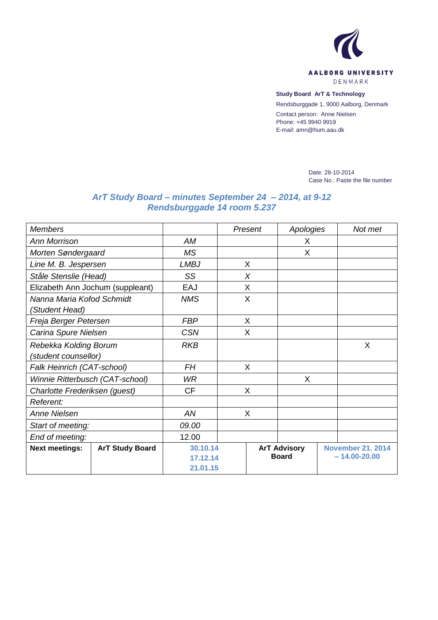

**Study Board ArT & Technology**

Rendsburggade 1, 9000 Aalborg, Denmark

Contact person: Anne Nielsen Phone: +45 9940 9919 E-mail: amn@hum.aau.dk

> Date: 28-10-2014 Case No.: Paste the file number

## *ArT Study Board – minutes September 24 – 2014, at 9-12 Rendsburggade 14 room 5.237*

| <b>Members</b>                  |                                  |             |              | Present        | Apologies           |   | Not met                  |  |  |
|---------------------------------|----------------------------------|-------------|--------------|----------------|---------------------|---|--------------------------|--|--|
| <b>Ann Morrison</b>             |                                  | AM          |              |                | X                   |   |                          |  |  |
| Morten Søndergaard              |                                  | <b>MS</b>   |              |                | X                   |   |                          |  |  |
| Line M. B. Jespersen            |                                  | <b>LMBJ</b> |              | X              |                     |   |                          |  |  |
| Ståle Stenslie (Head)           |                                  | SS          |              | X              |                     |   |                          |  |  |
|                                 | Elizabeth Ann Jochum (suppleant) | EAJ         |              | X              |                     |   |                          |  |  |
| Nanna Maria Kofod Schmidt       |                                  | <b>NMS</b>  |              | $\overline{X}$ |                     |   |                          |  |  |
| (Student Head)                  |                                  |             |              |                |                     |   |                          |  |  |
| Freja Berger Petersen           |                                  | <b>FBP</b>  |              | X              |                     |   |                          |  |  |
| Carina Spure Nielsen            | <b>CSN</b>                       |             | X            |                |                     |   |                          |  |  |
| Rebekka Kolding Borum           | <b>RKB</b>                       |             |              |                |                     | X |                          |  |  |
| (student counsellor)            |                                  |             |              |                |                     |   |                          |  |  |
| Falk Heinrich (CAT-school)      |                                  | FH          |              | X              |                     |   |                          |  |  |
| Winnie Ritterbusch (CAT-school) | <b>WR</b>                        |             |              | X              |                     |   |                          |  |  |
| Charlotte Frederiksen (guest)   |                                  | <b>CF</b>   |              | X              |                     |   |                          |  |  |
| Referent:                       |                                  |             |              |                |                     |   |                          |  |  |
| <b>Anne Nielsen</b>             |                                  | AN          |              | X              |                     |   |                          |  |  |
| Start of meeting:               |                                  | 09.00       |              |                |                     |   |                          |  |  |
| End of meeting:                 |                                  | 12.00       |              |                |                     |   |                          |  |  |
| <b>Next meetings:</b>           | <b>ArT Study Board</b>           |             | 30.10.14     |                | <b>ArT Advisory</b> |   | <b>November 21. 2014</b> |  |  |
|                                 |                                  | 17.12.14    | <b>Board</b> |                |                     |   | $-14.00 - 20.00$         |  |  |
|                                 |                                  | 21.01.15    |              |                |                     |   |                          |  |  |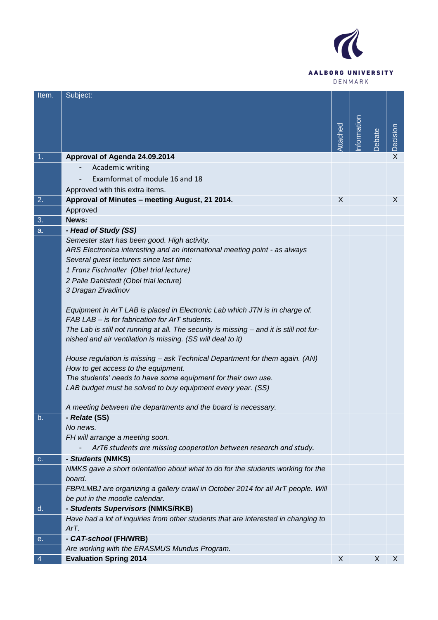

| Item.          | Subject:                                                                                             |          |            |       |                |
|----------------|------------------------------------------------------------------------------------------------------|----------|------------|-------|----------------|
|                |                                                                                                      |          |            |       |                |
|                |                                                                                                      |          |            |       |                |
|                |                                                                                                      |          |            |       |                |
|                |                                                                                                      | Attached | nformation | ebate | Decision       |
| 1 <sub>1</sub> | Approval of Agenda 24.09.2014                                                                        |          |            |       | $\overline{X}$ |
|                | Academic writing                                                                                     |          |            |       |                |
|                | Examformat of module 16 and 18                                                                       |          |            |       |                |
|                | Approved with this extra items.                                                                      |          |            |       |                |
| 2.             | Approval of Minutes - meeting August, 21 2014.                                                       | X        |            |       | X.             |
|                | Approved                                                                                             |          |            |       |                |
| 3.             | News:                                                                                                |          |            |       |                |
| a.             | - Head of Study (SS)                                                                                 |          |            |       |                |
|                | Semester start has been good. High activity.                                                         |          |            |       |                |
|                | ARS Electronica interesting and an international meeting point - as always                           |          |            |       |                |
|                | Several guest lecturers since last time:                                                             |          |            |       |                |
|                | 1 Franz Fischnaller (Obel trial lecture)                                                             |          |            |       |                |
|                | 2 Palle Dahlstedt (Obel trial lecture)<br>3 Dragan Zivadinov                                         |          |            |       |                |
|                |                                                                                                      |          |            |       |                |
|                | Equipment in ArT LAB is placed in Electronic Lab which JTN is in charge of.                          |          |            |       |                |
|                | FAB LAB - is for fabrication for ArT students.                                                       |          |            |       |                |
|                | The Lab is still not running at all. The security is missing - and it is still not fur-              |          |            |       |                |
|                | nished and air ventilation is missing. (SS will deal to it)                                          |          |            |       |                |
|                | House regulation is missing - ask Technical Department for them again. (AN)                          |          |            |       |                |
|                | How to get access to the equipment.                                                                  |          |            |       |                |
|                | The students' needs to have some equipment for their own use.                                        |          |            |       |                |
|                | LAB budget must be solved to buy equipment every year. (SS)                                          |          |            |       |                |
|                | A meeting between the departments and the board is necessary.                                        |          |            |       |                |
| b.             | - Relate (SS)                                                                                        |          |            |       |                |
|                | No news.                                                                                             |          |            |       |                |
|                | FH will arrange a meeting soon.                                                                      |          |            |       |                |
|                | ArT6 students are missing cooperation between research and study.                                    |          |            |       |                |
| c.             | - Students (NMKS)<br>NMKS gave a short orientation about what to do for the students working for the |          |            |       |                |
|                | board.                                                                                               |          |            |       |                |
|                | FBP/LMBJ are organizing a gallery crawl in October 2014 for all ArT people. Will                     |          |            |       |                |
|                | be put in the moodle calendar.                                                                       |          |            |       |                |
| d.             | - Students Supervisors (NMKS/RKB)                                                                    |          |            |       |                |
|                | Have had a lot of inquiries from other students that are interested in changing to                   |          |            |       |                |
|                | ArT.                                                                                                 |          |            |       |                |
| е.             | - CAT-school (FH/WRB)                                                                                |          |            |       |                |
|                | Are working with the ERASMUS Mundus Program.<br><b>Evaluation Spring 2014</b>                        | X        |            | X     |                |
| 4              |                                                                                                      |          |            |       | X.             |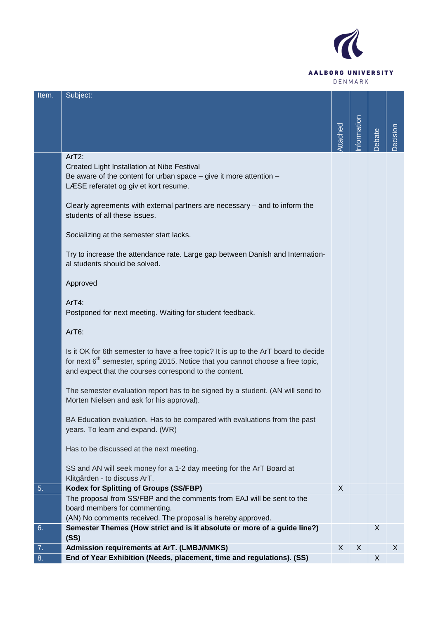

| Item. | Subject:                                                                                    |         |                  |       |         |
|-------|---------------------------------------------------------------------------------------------|---------|------------------|-------|---------|
|       |                                                                                             |         |                  |       |         |
|       |                                                                                             |         |                  |       |         |
|       |                                                                                             |         | nformation       |       |         |
|       |                                                                                             | ttached |                  | ebate | ecision |
|       |                                                                                             |         |                  |       |         |
|       | ArT2:                                                                                       |         |                  |       |         |
|       | Created Light Installation at Nibe Festival                                                 |         |                  |       |         |
|       | Be aware of the content for urban space - give it more attention -                          |         |                  |       |         |
|       | LÆSE referatet og giv et kort resume.                                                       |         |                  |       |         |
|       |                                                                                             |         |                  |       |         |
|       | Clearly agreements with external partners are necessary - and to inform the                 |         |                  |       |         |
|       | students of all these issues.                                                               |         |                  |       |         |
|       |                                                                                             |         |                  |       |         |
|       | Socializing at the semester start lacks.                                                    |         |                  |       |         |
|       |                                                                                             |         |                  |       |         |
|       | Try to increase the attendance rate. Large gap between Danish and Internation-              |         |                  |       |         |
|       | al students should be solved.                                                               |         |                  |       |         |
|       |                                                                                             |         |                  |       |         |
|       | Approved                                                                                    |         |                  |       |         |
|       | $ArT4$ :                                                                                    |         |                  |       |         |
|       | Postponed for next meeting. Waiting for student feedback.                                   |         |                  |       |         |
|       |                                                                                             |         |                  |       |         |
|       | ArT6:                                                                                       |         |                  |       |         |
|       |                                                                                             |         |                  |       |         |
|       | Is it OK for 6th semester to have a free topic? It is up to the ArT board to decide         |         |                  |       |         |
|       | for next 6 <sup>th</sup> semester, spring 2015. Notice that you cannot choose a free topic, |         |                  |       |         |
|       | and expect that the courses correspond to the content.                                      |         |                  |       |         |
|       |                                                                                             |         |                  |       |         |
|       | The semester evaluation report has to be signed by a student. (AN will send to              |         |                  |       |         |
|       | Morten Nielsen and ask for his approval).                                                   |         |                  |       |         |
|       |                                                                                             |         |                  |       |         |
|       | BA Education evaluation. Has to be compared with evaluations from the past                  |         |                  |       |         |
|       | years. To learn and expand. (WR)                                                            |         |                  |       |         |
|       |                                                                                             |         |                  |       |         |
|       | Has to be discussed at the next meeting.                                                    |         |                  |       |         |
|       | SS and AN will seek money for a 1-2 day meeting for the ArT Board at                        |         |                  |       |         |
|       | Klitgården - to discuss ArT.                                                                |         |                  |       |         |
| 5.    | <b>Kodex for Splitting of Groups (SS/FBP)</b>                                               | X       |                  |       |         |
|       | The proposal from SS/FBP and the comments from EAJ will be sent to the                      |         |                  |       |         |
|       | board members for commenting.                                                               |         |                  |       |         |
|       | (AN) No comments received. The proposal is hereby approved.                                 |         |                  |       |         |
| 6.    | Semester Themes (How strict and is it absolute or more of a guide line?)                    |         |                  | X     |         |
|       | (SS)                                                                                        |         |                  |       |         |
| 7.    | <b>Admission requirements at ArT. (LMBJ/NMKS)</b>                                           | X       | $\boldsymbol{X}$ |       | X       |
| 8.    | End of Year Exhibition (Needs, placement, time and regulations). (SS)                       |         |                  | X     |         |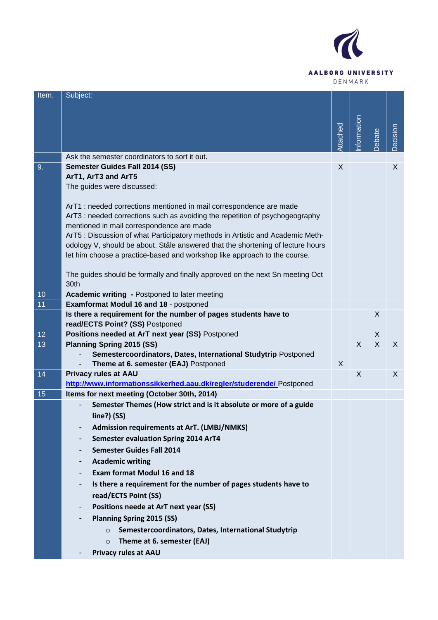

| Item. | Subject:                                                                                                                  |          |            |       |          |
|-------|---------------------------------------------------------------------------------------------------------------------------|----------|------------|-------|----------|
|       |                                                                                                                           |          |            |       |          |
|       |                                                                                                                           |          |            |       |          |
|       |                                                                                                                           |          |            |       |          |
|       |                                                                                                                           | Attached | nformation | ebate | Decision |
|       | Ask the semester coordinators to sort it out.                                                                             |          |            |       |          |
| 9.    | Semester Guides Fall 2014 (SS)                                                                                            | X        |            |       | X        |
|       | ArT1, ArT3 and ArT5                                                                                                       |          |            |       |          |
|       | The guides were discussed:                                                                                                |          |            |       |          |
|       |                                                                                                                           |          |            |       |          |
|       | ArT1: needed corrections mentioned in mail correspondence are made                                                        |          |            |       |          |
|       | ArT3 : needed corrections such as avoiding the repetition of psychogeography<br>mentioned in mail correspondence are made |          |            |       |          |
|       | ArT5: Discussion of what Participatory methods in Artistic and Academic Meth-                                             |          |            |       |          |
|       | odology V, should be about. Ståle answered that the shortening of lecture hours                                           |          |            |       |          |
|       | let him choose a practice-based and workshop like approach to the course.                                                 |          |            |       |          |
|       |                                                                                                                           |          |            |       |          |
|       | The guides should be formally and finally approved on the next Sn meeting Oct                                             |          |            |       |          |
|       | 30th                                                                                                                      |          |            |       |          |
| 10    | <b>Academic writing - Postponed to later meeting</b>                                                                      |          |            |       |          |
| 11    | Examformat Modul 16 and 18 - postponed                                                                                    |          |            |       |          |
|       | Is there a requirement for the number of pages students have to<br>read/ECTS Point? (SS) Postponed                        |          |            | X     |          |
| 12    | Positions needed at ArT next year (SS) Postponed                                                                          |          |            | X     |          |
| 13    | <b>Planning Spring 2015 (SS)</b>                                                                                          |          | X          | X     | X        |
|       | Semestercoordinators, Dates, International Studytrip Postponed                                                            |          |            |       |          |
|       | Theme at 6. semester (EAJ) Postponed                                                                                      | X        |            |       |          |
| 14    | <b>Privacy rules at AAU</b>                                                                                               |          | X          |       | X        |
|       | http://www.informationssikkerhed.aau.dk/regler/studerende/ Postponed                                                      |          |            |       |          |
| 15    | Items for next meeting (October 30th, 2014)                                                                               |          |            |       |          |
|       | Semester Themes (How strict and is it absolute or more of a guide                                                         |          |            |       |          |
|       | line?) (SS)                                                                                                               |          |            |       |          |
|       | <b>Admission requirements at ArT. (LMBJ/NMKS)</b><br>-                                                                    |          |            |       |          |
|       | <b>Semester evaluation Spring 2014 ArT4</b><br>-                                                                          |          |            |       |          |
|       | <b>Semester Guides Fall 2014</b><br>-                                                                                     |          |            |       |          |
|       | <b>Academic writing</b><br>-                                                                                              |          |            |       |          |
|       | <b>Exam format Modul 16 and 18</b><br>-                                                                                   |          |            |       |          |
|       | Is there a requirement for the number of pages students have to<br>-                                                      |          |            |       |          |
|       | read/ECTS Point (SS)                                                                                                      |          |            |       |          |
|       | Positions neede at ArT next year (SS)<br>-                                                                                |          |            |       |          |
|       | <b>Planning Spring 2015 (SS)</b><br>-                                                                                     |          |            |       |          |
|       | Semestercoordinators, Dates, International Studytrip<br>$\Omega$                                                          |          |            |       |          |
|       | Theme at 6. semester (EAJ)<br>$\Omega$                                                                                    |          |            |       |          |
|       | <b>Privacy rules at AAU</b>                                                                                               |          |            |       |          |
|       |                                                                                                                           |          |            |       |          |